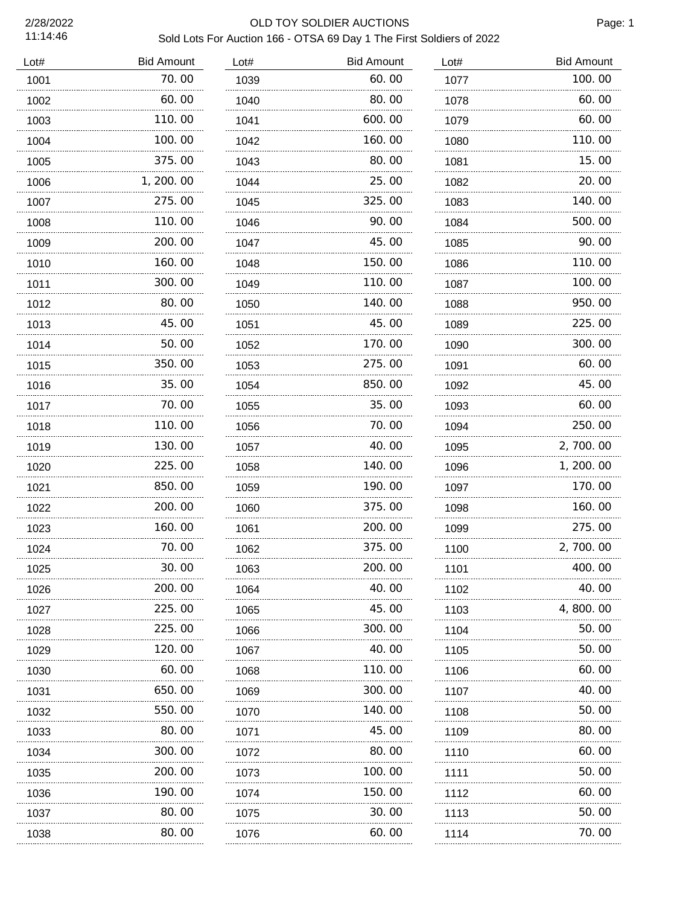### 2/28/2022 OLD TOY SOLDIER AUCTIONS Sold Lots For Auction 166 - OTSA 69 Day 1 The First Soldiers of 2022

| Lot# | <b>Bid Amount</b> | Lot# | <b>Bid Amount</b> | Lot# | <b>Bid Amount</b> |
|------|-------------------|------|-------------------|------|-------------------|
| 1001 | 70.00             | 1039 | 60.00             | 1077 | 100.00            |
| 1002 | 60.00             | 1040 | 80.00             | 1078 | 60.00             |
| 1003 | 110.00<br>.       | 1041 | 600.00            | 1079 | 60.00             |
| 1004 | 100.00            | 1042 | 160.00            | 1080 | 110.00            |
| 1005 | 375.00            | 1043 | 80.00             | 1081 | 15.00             |
| 1006 | 1, 200. 00        | 1044 | 25.00             | 1082 | 20.00             |
| 1007 | 275.00            | 1045 | 325.00            | 1083 | 140.00            |
| 1008 | 110.00            | 1046 | 90.00             | 1084 | 500.00            |
| 1009 | 200.00<br>.       | 1047 | 45.00             | 1085 | 90.00             |
| 1010 | 160.00            | 1048 | 150.00            | 1086 | 110.00            |
| 1011 | 300.00            | 1049 | 110.00            | 1087 | 100.00            |
| 1012 | 80.00             | 1050 | 140.00            | 1088 | 950.00            |
| 1013 | 45.00             | 1051 | 45.00             | 1089 | 225.00            |
| 1014 | 50.00             | 1052 | 170.00            | 1090 | 300.00            |
| 1015 | 350.00            | 1053 | 275.00            | 1091 | 60.00             |
| 1016 | 35.00             | 1054 | 850.00            | 1092 | 45.00             |
| 1017 | 70.00             | 1055 | 35.00             | 1093 | 60.00             |
| 1018 | 110.00            | 1056 | 70.00             | 1094 | 250.00            |
| 1019 | 130.00            | 1057 | 40.00             | 1095 | 2,700.00          |
| 1020 | 225.00            | 1058 | 140.00            | 1096 | 1, 200. 00        |
| 1021 | 850.00            | 1059 | 190.00            | 1097 | 170.00            |
| 1022 | 200.00            | 1060 | 375.00            | 1098 | 160.00            |
| 1023 | 160.00            | 1061 | 200.00            | 1099 | 275.00            |
| 1024 | 70.00             | 1062 | 375.00            | 1100 | 2,700.00          |
| 1025 | 30.00             | 1063 | 200.00            | 1101 | 400.00            |
| 1026 | 200. 00           | 1064 | 40. 00            | 1102 | 40.00             |
| 1027 | 225.00            | 1065 | 45.00             | 1103 | 4, 800, 00        |
| 1028 | 225.00            | 1066 | 300. 00           | 1104 | 50.00             |
| 1029 | 120.00            | 1067 | 40. 00            | 1105 | 50.00             |
| 1030 | 60.00             | 1068 | 110. 00           | 1106 | 60.00             |
| 1031 | 650.00            | 1069 | 300. 00           | 1107 | 40.00             |
| 1032 | 550. 00           | 1070 | 140. 00           | 1108 | 50.00             |
| 1033 | 80.00             | 1071 | 45.00             | 1109 | 80.00             |
| 1034 | 300. 00           | 1072 | 80.00             | 1110 | 60.00             |
| 1035 | 200.00            | 1073 | 100.00            | 1111 | 50.00             |
| 1036 | 190.00            | 1074 | 150.00            | 1112 | 60.00             |
| 1037 | 80.00             | 1075 | 30.00             | 1113 | 50.00             |
| 1038 | 80.00             | 1076 | 60.00             | 1114 | 70.00             |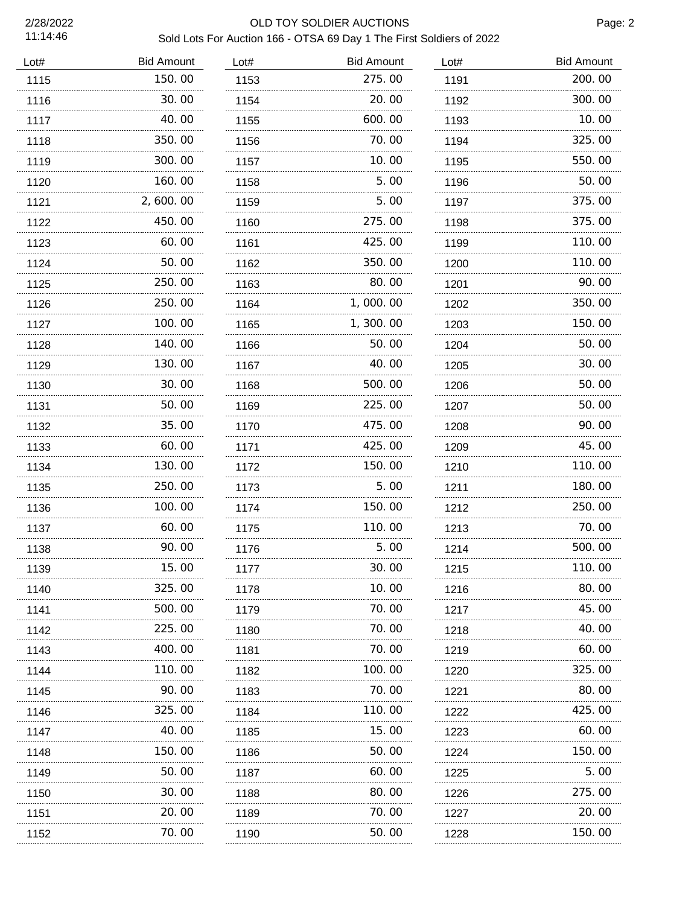### 2/28/2022 OLD TOY SOLDIER AUCTIONS Sold Lots For Auction 166 - OTSA 69 Day 1 The First Soldiers of 2022

| 150.00<br>275.00<br>1115<br>1153<br>1191<br>30.00<br>20.00<br>1116<br>1154<br>1192<br>40.00<br>600.00<br>1117<br>1155<br>1193<br>350.00<br>70.00<br>1118<br>1156<br>1194<br>300.00<br>10.00<br>1119<br>1195<br>1157<br>160.00<br>5.00<br>1120<br>1158<br>1196<br>2,600.00<br>5.00<br>1121<br>1159<br>1197<br>450.00<br>275.00<br>1122<br>1160<br>1198 | 200.00<br>300.00<br>10.00<br>325.00<br>550.00<br>50.00<br>375.00<br>375.00<br>110.00<br>110.00<br>90.00<br>350.00 |
|-------------------------------------------------------------------------------------------------------------------------------------------------------------------------------------------------------------------------------------------------------------------------------------------------------------------------------------------------------|-------------------------------------------------------------------------------------------------------------------|
|                                                                                                                                                                                                                                                                                                                                                       |                                                                                                                   |
|                                                                                                                                                                                                                                                                                                                                                       |                                                                                                                   |
|                                                                                                                                                                                                                                                                                                                                                       |                                                                                                                   |
|                                                                                                                                                                                                                                                                                                                                                       |                                                                                                                   |
|                                                                                                                                                                                                                                                                                                                                                       |                                                                                                                   |
|                                                                                                                                                                                                                                                                                                                                                       |                                                                                                                   |
|                                                                                                                                                                                                                                                                                                                                                       |                                                                                                                   |
|                                                                                                                                                                                                                                                                                                                                                       |                                                                                                                   |
| 60.00<br>425.00<br>1123<br>1161<br>1199                                                                                                                                                                                                                                                                                                               |                                                                                                                   |
| 50.00<br>350.00<br>1162<br>1124<br>1200                                                                                                                                                                                                                                                                                                               |                                                                                                                   |
| 250.00<br>80.00<br>1125<br>1163<br>1201                                                                                                                                                                                                                                                                                                               |                                                                                                                   |
| 250.00<br>1,000.00<br>1126<br>1164<br>1202                                                                                                                                                                                                                                                                                                            |                                                                                                                   |
| 100.00<br>1, 300. 00<br>1127<br>1165<br>1203                                                                                                                                                                                                                                                                                                          | 150.00                                                                                                            |
| 140.00<br>50.00<br>1128<br>1166<br>1204                                                                                                                                                                                                                                                                                                               | 50.00                                                                                                             |
| 130.00<br>40.00<br>1129<br>1167<br>1205                                                                                                                                                                                                                                                                                                               | 30.00                                                                                                             |
| 30.00<br>500.00<br>1130<br>1168<br>1206                                                                                                                                                                                                                                                                                                               | 50.00                                                                                                             |
| 50.00<br>225.00<br>1131<br>1169<br>1207                                                                                                                                                                                                                                                                                                               | 50.00                                                                                                             |
| 35.00<br>475.00<br>1132<br>1170<br>1208                                                                                                                                                                                                                                                                                                               | 90.00                                                                                                             |
| 425.00<br>60.00<br>1133<br>1171<br>1209                                                                                                                                                                                                                                                                                                               | 45.00                                                                                                             |
| 130.00<br>150.00<br>1134<br>1172<br>1210                                                                                                                                                                                                                                                                                                              | 110.00                                                                                                            |
| 5.00<br>250.00<br>1135<br>1173<br>1211                                                                                                                                                                                                                                                                                                                | 180.00                                                                                                            |
| 100.00<br>150.00<br>1136<br>1174<br>1212                                                                                                                                                                                                                                                                                                              | 250.00                                                                                                            |
| 60.00<br>110.00<br>1137<br>1175<br>1213                                                                                                                                                                                                                                                                                                               | 70.00                                                                                                             |
| 90.00<br>5.00<br>1138<br>1176<br>1214                                                                                                                                                                                                                                                                                                                 | 500.00                                                                                                            |
| 15.00<br>30.00<br>1139<br>1177<br>1215                                                                                                                                                                                                                                                                                                                | 110.00                                                                                                            |
| 325.00<br>10. 00<br>1216<br>1140<br>1178<br>.<br>.                                                                                                                                                                                                                                                                                                    | 80.00                                                                                                             |
| 500.00<br>70.00<br>1141<br>1179<br>1217                                                                                                                                                                                                                                                                                                               | 45.00                                                                                                             |
| 70.00<br>225.00<br>1142<br>1180<br>1218<br>.<br>.                                                                                                                                                                                                                                                                                                     | 40.00                                                                                                             |
| 400.00<br>70.00<br>1143<br>1181<br>1219<br>.                                                                                                                                                                                                                                                                                                          | 60.00                                                                                                             |
| 110. 00<br>100. 00<br>1144<br>1182<br>1220                                                                                                                                                                                                                                                                                                            | 325.00                                                                                                            |
| 90.00<br>70.00<br>1145<br>1183<br>1221                                                                                                                                                                                                                                                                                                                | 80.00                                                                                                             |
| 325.00<br>110. 00<br>1146<br>1184<br>1222                                                                                                                                                                                                                                                                                                             | 425.00                                                                                                            |
| 40.00<br>15.00<br>1147<br>1185<br>1223                                                                                                                                                                                                                                                                                                                | 60.00                                                                                                             |
| 150. 00<br>50.00<br>1148<br>1186<br>1224                                                                                                                                                                                                                                                                                                              | 150.00                                                                                                            |
| 50.00<br>60.00<br>1149<br>1187<br>1225                                                                                                                                                                                                                                                                                                                | 5.00                                                                                                              |
| 30.00<br>80. 00<br>1150<br>1188<br>1226                                                                                                                                                                                                                                                                                                               | 275.00                                                                                                            |
| 20.00<br>70.00<br>1151<br>1189<br>1227                                                                                                                                                                                                                                                                                                                | 20.00                                                                                                             |
| 70. 00<br>50.00<br>1152<br>1190<br>1228<br>.<br>.                                                                                                                                                                                                                                                                                                     | 150.00                                                                                                            |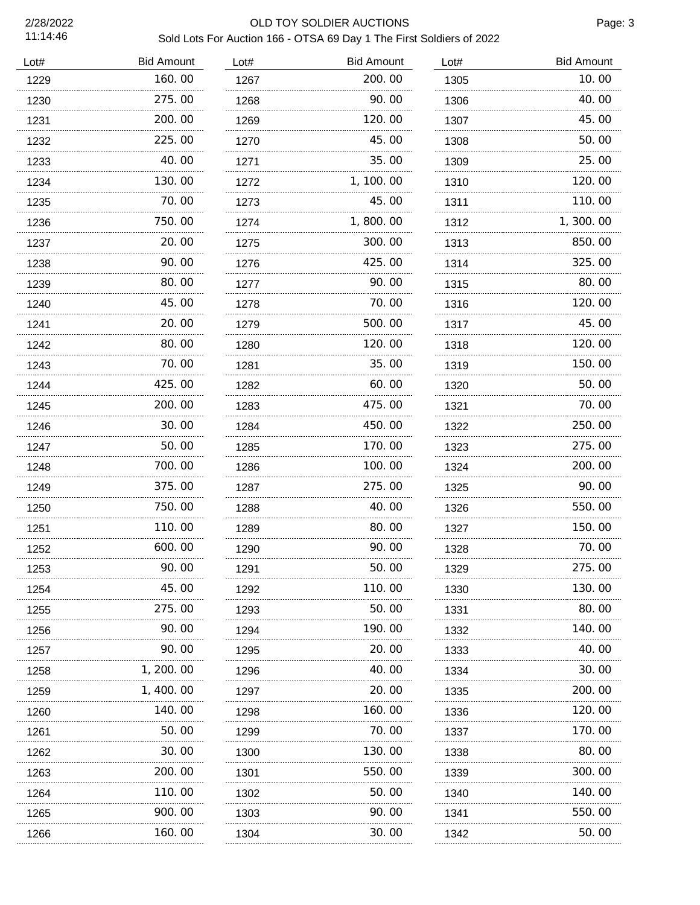# 2/28/2022 OLD TOY SOLDIER AUCTIONS

Page: 3

## Sold Lots For Auction 166 - OTSA 69 Day 1 The First Soldiers of 2022

| Lot# | <b>Bid Amount</b> | Lot#      | <b>Bid Amount</b> | Lot#      | <b>Bid Amount</b> |
|------|-------------------|-----------|-------------------|-----------|-------------------|
| 1229 | 160.00            | 1267      | 200.00            | 1305      | 10.00             |
| 1230 | 275.00            | 1268      | 90.00             | 1306      | 40.00             |
| 1231 | 200.00            | 1269      | 120.00            | 1307      | 45.00             |
| 1232 | 225.00            | 1270      | 45.00             | 1308      | 50.00             |
| 1233 | 40.00             | 1271<br>. | 35.00             | 1309<br>. | 25.00             |
| 1234 | 130.00            | 1272      | 1, 100.00         | 1310      | 120.00            |
| 1235 | 70.00             | 1273      | 45.00             | 1311      | 110.00            |
| 1236 | 750.00            | 1274      | 1,800.00          | 1312      | 1,300.00          |
| 1237 | 20, 00            | 1275      | 300.00            | 1313      | 850.00            |
| 1238 | 90.00             | 1276      | 425.00            | 1314      | 325.00            |
| 1239 | 80.00             | 1277      | 90.00             | 1315      | 80.00             |
| 1240 | 45.00             | 1278      | 70.00             | 1316      | 120.00            |
| 1241 | 20.00             | 1279      | 500.00            | 1317      | 45.00             |
| 1242 | 80.00             | 1280      | 120.00            | 1318      | 120.00            |
| 1243 | 70.00             | 1281      | 35.00             | 1319      | 150.00            |
| 1244 | 425.00            | 1282      | 60.00             | 1320      | 50.00             |
| 1245 | 200.00            | 1283      | 475.00            | 1321      | 70.00             |
| 1246 | 30.00             | 1284      | 450.00            | 1322      | 250.00            |
| 1247 | 50.00             | 1285      | 170.00            | 1323      | 275.00            |
| 1248 | 700.00            | 1286      | 100.00            | 1324      | 200.00            |
| 1249 | 375.00            | 1287      | 275.00            | 1325      | 90.00             |
| 1250 | 750.00            | 1288      | 40.00             | 1326      | 550.00            |
| 1251 | 110.00            | 1289      | 80.00             | 1327      | 150.00            |
| 1252 | 600.00            | 1290      | 90.00             | 1328      | 70.00             |
| 1253 | 90.00<br>.        | 1291      | 50.00             | 1329      | 275.00            |
| 1254 | 45.00             | 1292      | 110. 00           | 1330      | 130.00            |
| 1255 | 275.00<br>.       | 1293      | 50.00             | 1331      | 80.00             |
| 1256 | 90.00             | 1294      | 190. 00           | 1332      | 140.00            |
| 1257 | 90.00             | 1295      | 20. 00            | 1333      | 40.00             |
| 1258 | 1, 200. 00        | 1296      | 40.00             | 1334      | 30.00             |
| 1259 | 1, 400. 00        | 1297      | 20.00             | 1335      | 200.00            |
| 1260 | 140.00            | 1298      | 160. 00           | 1336      | 120.00            |
| 1261 | 50. 00            | 1299      | 70.00             | 1337      | 170.00            |
| 1262 | 30.00             | 1300      | 130.00            | 1338      | 80.00             |
| 1263 | 200.00            | 1301      | 550.00            | 1339      | 300.00            |
| 1264 | 110.00            | 1302      | 50.00             | 1340      | 140.00            |
| 1265 | 900. 00           | 1303      | 90.00             | 1341      | 550.00            |
| 1266 | 160.00            | 1304      | 30.00             | 1342      | 50.00             |
|      |                   |           |                   |           |                   |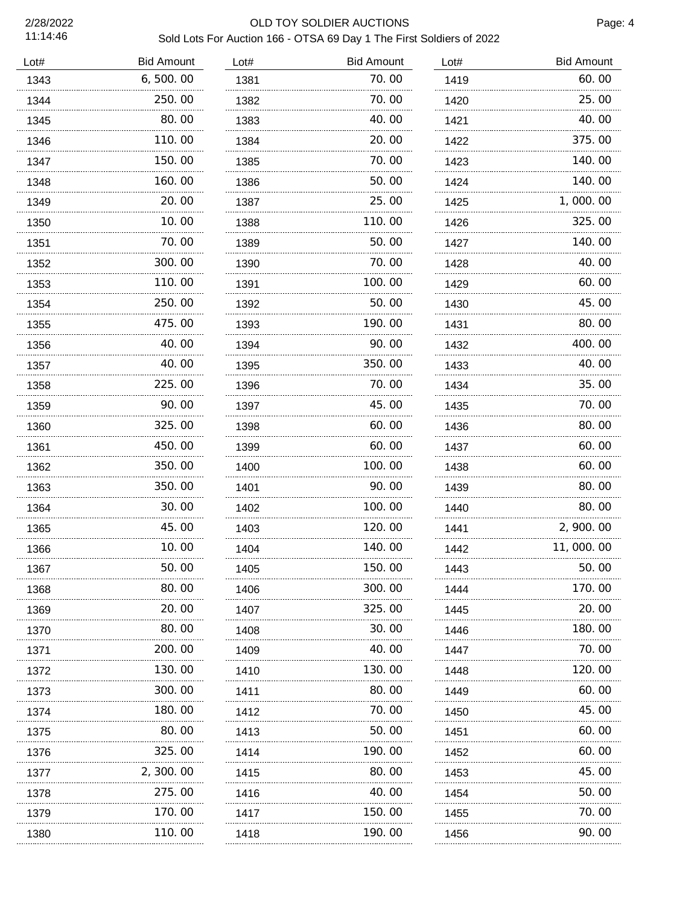#### 2/28/2022 OLD TOY SOLDIER AUCTIONS Sold Lots For Auction 166 - OTSA 69 Day 1 The First Soldiers of 2022

| Lot# | <b>Bid Amount</b> | Lot# | <b>Bid Amount</b> | Lot# | <b>Bid Amount</b> |
|------|-------------------|------|-------------------|------|-------------------|
| 1343 | 6, 500.00         | 1381 | 70.00             | 1419 | 60.00             |
| 1344 | 250.00            | 1382 | 70.00             | 1420 | 25.00             |
| 1345 | 80.00             | 1383 | 40.00             | 1421 | 40.00             |
| 1346 | 110.00            | 1384 | 20.00             | 1422 | 375.00            |
| 1347 | 150.00            | 1385 | 70.00             | 1423 | 140.00            |
| 1348 | 160.00            | 1386 | 50.00             | 1424 | 140.00            |
| 1349 | 20.00             | 1387 | 25.00             | 1425 | 1,000.00          |
| 1350 | 10.00             | 1388 | 110.00            | 1426 | 325.00            |
| 1351 | 70.00             | 1389 | 50.00             | 1427 | 140.00            |
| 1352 | 300.00            | 1390 | 70.00             | 1428 | 40.00             |
| 1353 | 110.00            | 1391 | 100.00            | 1429 | 60.00             |
| 1354 | 250.00            | 1392 | 50.00             | 1430 | 45.00             |
| 1355 | 475.00            | 1393 | 190.00            | 1431 | 80.00             |
| 1356 | 40.00             | 1394 | 90.00             | 1432 | 400.00            |
| 1357 | 40.00             | 1395 | 350.00            | 1433 | 40.00             |
| 1358 | 225.00            | 1396 | 70.00             | 1434 | 35.00             |
| 1359 | 90.00             | 1397 | 45.00             | 1435 | 70.00             |
| 1360 | 325.00            | 1398 | 60.00             | 1436 | 80.00             |
| 1361 | 450.00            | 1399 | 60.00             | 1437 | 60.00             |
| 1362 | 350.00            | 1400 | 100.00            | 1438 | 60.00             |
| 1363 | 350.00            | 1401 | 90.00             | 1439 | 80.00             |
| 1364 | 30.00             | 1402 | 100.00            | 1440 | 80.00             |
| 1365 | 45.00             | 1403 | 120.00            | 1441 | 2, 900. 00        |
| 1366 | 10.00             | 1404 | 140.00            | 1442 | 11,000.00         |
| 1367 | 50.00             | 1405 | 150.00            | 1443 | 50.00             |
| 1368 | 80.00             | 1406 | 300.00            | 1444 | 170.00            |
| 1369 | 20.00             | 1407 | 325.00            | 1445 | 20.00             |
| 1370 | 80.00             | 1408 | 30. 00            | 1446 | 180. 00           |
| 1371 | 200.00            | 1409 | 40.00             | 1447 | 70.00             |
| 1372 | 130.00            | 1410 | 130. 00           | 1448 | 120. 00           |
| 1373 | 300.00            | 1411 | 80.00             | 1449 | 60.00             |
| 1374 | 180.00            | 1412 | 70. 00            | 1450 | 45.00             |
| 1375 | 80.00             | 1413 | 50.00             | 1451 | 60.00             |
| 1376 | 325.00            | 1414 | 190.00            | 1452 | 60.00             |
| 1377 | 2, 300. 00        | 1415 | 80.00             | 1453 | 45.00             |
| 1378 | 275.00            | 1416 | 40. 00            | 1454 | 50.00             |
| 1379 | <br>170.00        | 1417 | .<br>150.00       | 1455 | 70.00             |
| 1380 | 110.00            | 1418 | 190.00            | 1456 | 90.00             |
|      |                   |      |                   |      |                   |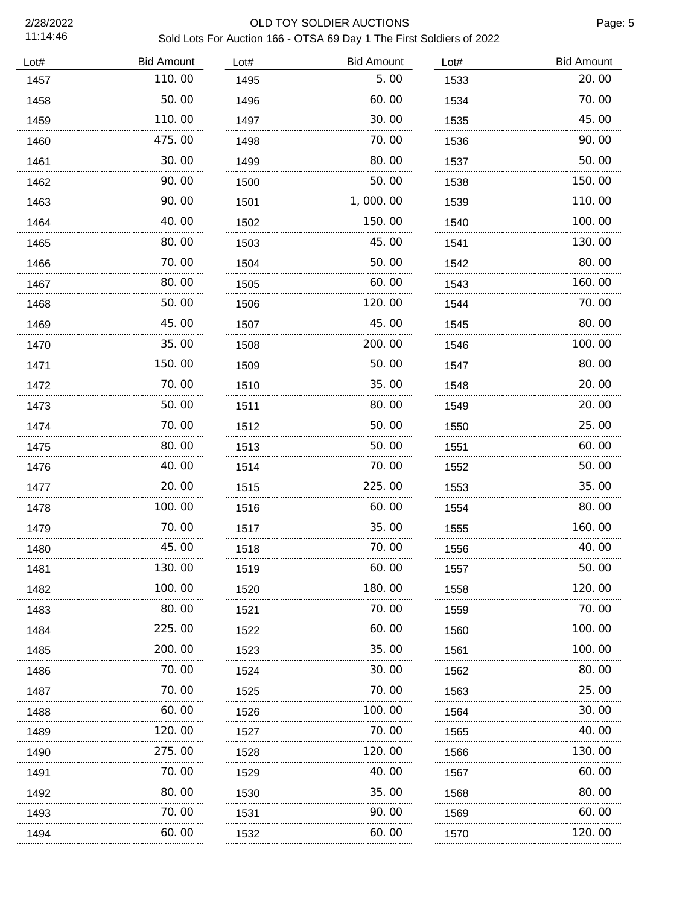## 2/28/2022 OLD TOY SOLDIER AUCTIONS Sold Lots For Auction 166 - OTSA 69 Day 1 The First Soldiers of 2022

| Lot# | <b>Bid Amount</b> | Lot# | <b>Bid Amount</b> | Lot# | <b>Bid Amount</b> |
|------|-------------------|------|-------------------|------|-------------------|
| 1457 | 110.00            | 1495 | 5.00              | 1533 | 20.00             |
| 1458 | 50.00             | 1496 | 60.00             | 1534 | 70.00             |
| 1459 | 110.00            | 1497 | 30.00             | 1535 | 45.00             |
| 1460 | 475.00            | 1498 | 70.00             | 1536 | 90.00             |
| 1461 | 30.00             | 1499 | 80.00             | 1537 | 50.00             |
| 1462 | 90.00             | 1500 | 50.00             | 1538 | 150.00            |
| 1463 | 90.00             | 1501 | 1,000.00          | 1539 | 110.00            |
| 1464 | 40.00             | 1502 | 150.00            | 1540 | 100.00            |
| 1465 | 80.00             | 1503 | 45.00             | 1541 | 130.00            |
| 1466 | 70. 00            | 1504 | 50.00             | 1542 | 80.00             |
| 1467 | 80.00             | 1505 | 60.00             | 1543 | 160.00            |
| 1468 | 50.00             | 1506 | 120.00            | 1544 | 70.00             |
| 1469 | 45.00             | 1507 | 45.00             | 1545 | 80.00             |
| 1470 | 35.00             | 1508 | 200.00            | 1546 | 100.00            |
| 1471 | 150.00            | 1509 | 50.00             | 1547 | 80.00             |
| 1472 | 70.00             | 1510 | 35.00             | 1548 | 20.00             |
| 1473 | 50.00             | 1511 | 80.00             | 1549 | 20.00             |
| 1474 | 70.00             | 1512 | 50.00             | 1550 | 25.00             |
| 1475 | 80.00             | 1513 | 50.00             | 1551 | 60.00             |
| 1476 | 40.00             | 1514 | 70.00             | 1552 | 50.00             |
| 1477 | 20.00             | 1515 | 225.00            | 1553 | 35.00             |
| 1478 | 100.00            | 1516 | 60.00             | 1554 | 80.00             |
| 1479 | 70.00             | 1517 | 35.00             | 1555 | 160.00            |
| 1480 | 45.00             | 1518 | 70.00             | 1556 | 40.00             |
| 1481 | 130.00            | 1519 | 60.00             | 1557 | 50.00             |
| 1482 | 100.00<br>.       | 1520 | 180.00<br>.       | 1558 | 120.00            |
| 1483 | 80.00             | 1521 | 70.00             | 1559 | 70.00             |
| 1484 | 225.00            | 1522 | 60. 00            | 1560 | 100. 00           |
| 1485 | 200.00            | 1523 | 35.00             | 1561 | 100.00            |
| 1486 | 70. 00            | 1524 | 30.00             | 1562 | 80.00             |
| 1487 | 70.00             | 1525 | 70.00             | 1563 | 25.00             |
| 1488 | 60.00             | 1526 | 100.00            | 1564 | 30.00             |
| 1489 | 120.00            | 1527 | 70.00             | 1565 | 40.00             |
| 1490 | 275.00            | 1528 | 120. 00           | 1566 | 130.00            |
| 1491 | 70. 00            | 1529 | 40. 00            | 1567 | 60.00             |
| 1492 | 80.00             | 1530 | 35.00             | 1568 | 80.00             |
| 1493 | 70.00             | 1531 | 90.00             | 1569 | 60.00             |
| 1494 | 60.00             | 1532 | 60. 00            | 1570 | 120.00            |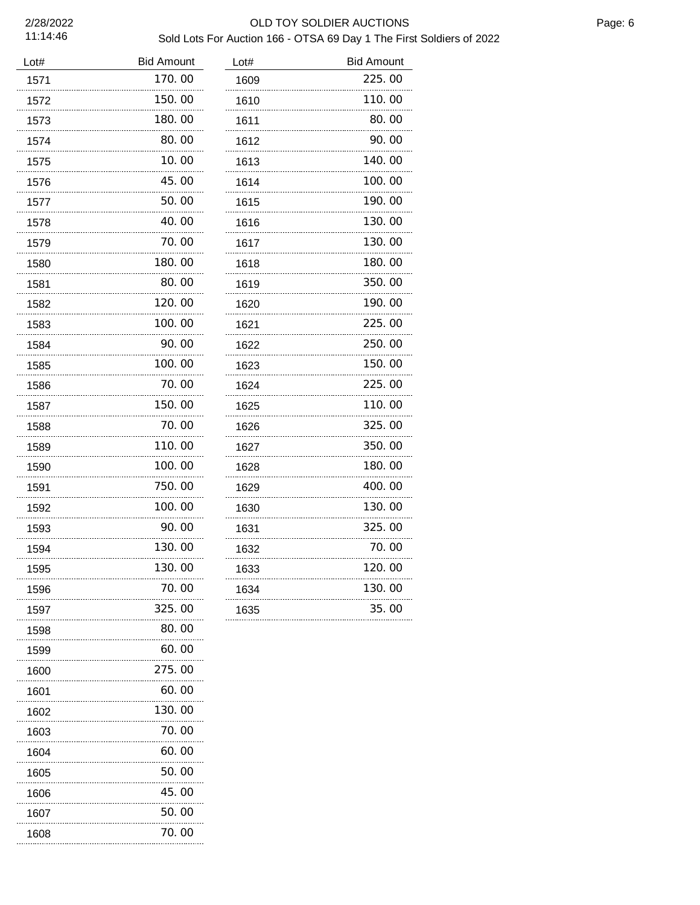#### 2/28/2022 OLD TOY SOLDIER AUCTIONS Sold Lots For Auction 166 - OTSA 69 Day 1 The First Soldiers of 2022

| Lot# | <b>Bid Amount</b> | Lot# | <b>Bid Amount</b> |
|------|-------------------|------|-------------------|
| 1571 | 170.00            | 1609 | 225.00            |
| 1572 | 150.00            | 1610 | 110.00            |
| 1573 | 180.00            | 1611 | 80.00             |
| 1574 | 80.00             | 1612 | 90.00             |
| 1575 | 10.00             | 1613 | 140.00            |
| 1576 | 45.00             | 1614 | 100.00            |
| 1577 | 50.00             | 1615 | 190.00            |
| 1578 | 40.00             | 1616 | 130.00            |
| 1579 | 70.00             | 1617 | 130.00            |
| 1580 | 180.00            | 1618 | 180.00            |
| 1581 | 80.00             | 1619 | 350.00            |
| 1582 | 120.00            | 1620 | 190.00            |
| 1583 | 100.00            | 1621 | 225.00            |
| 1584 | 90. 00            | 1622 | 250.00            |
| 1585 | 100.00            | 1623 | 150.00            |
| 1586 | 70.00             | 1624 | 225.00            |
| 1587 | 150.00            | 1625 | 110.00            |
| 1588 | 70.00             | 1626 | 325.00            |
| 1589 | 110.00            | 1627 | 350.00            |
| 1590 | 100.00            | 1628 | 180.00            |
| 1591 | 750.00            | 1629 | 400.00            |
| 1592 | 100.00            | 1630 | 130.00            |
| 1593 | 90.00             | 1631 | 325.00            |
| 1594 | 130.00            | 1632 | 70.00             |
| 1595 | 130.00            | 1633 | 120.00            |
| 1596 | 70.00             | 1634 | 130.00            |
| 1597 | 325.00            | 1635 | 35.00             |
| 1598 | 80.00             |      |                   |
| 1599 | 60.00             |      |                   |
| 1600 | 275.00            |      |                   |
| 1601 | 60.00             |      |                   |
| 1602 | 130. 00           |      |                   |
| 1603 | 70. 00            |      |                   |
| 1604 | 60. 00            |      |                   |
| 1605 | 50. 00            |      |                   |
| 1606 | 45.00             |      |                   |
| 1607 | 50. 00            |      |                   |
| 1608 | 70.00             |      |                   |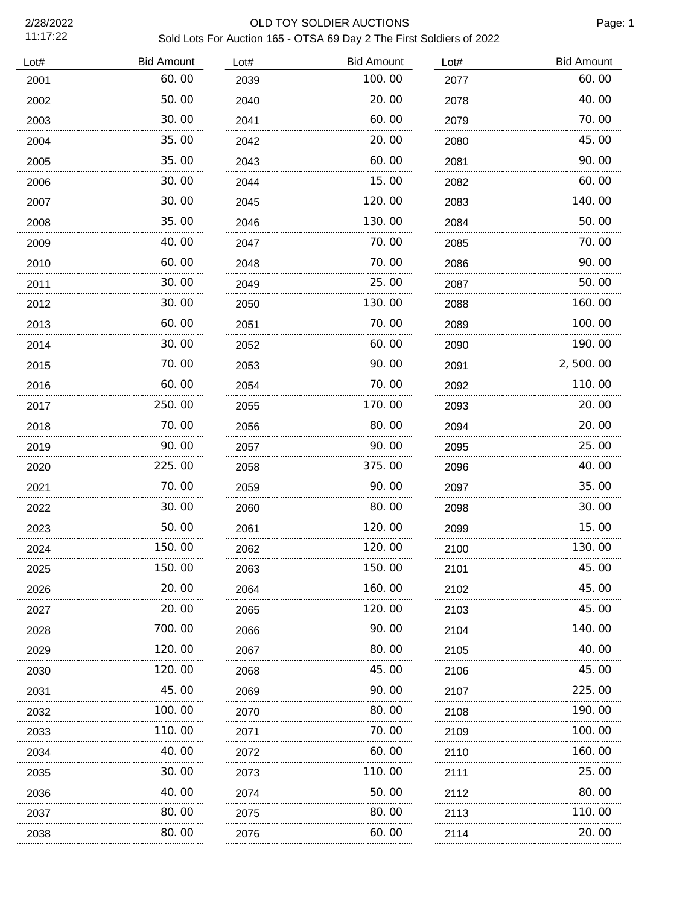## 2/28/2022 OLD TOY SOLDIER AUCTIONS Sold Lots For Auction 165 - OTSA 69 Day 2 The First Soldiers of 2022

| Lot# | <b>Bid Amount</b> | Lot# | <b>Bid Amount</b> | Lot# | <b>Bid Amount</b> |
|------|-------------------|------|-------------------|------|-------------------|
| 2001 | 60.00             | 2039 | 100.00            | 2077 | 60.00             |
| 2002 | 50.00             | 2040 | 20.00             | 2078 | 40.00             |
| 2003 | 30.00             | 2041 | 60.00             | 2079 | 70.00             |
| 2004 | 35. OO            | 2042 | 20.00             | 2080 | 45.00             |
| 2005 | 35.00             | 2043 | 60.00             | 2081 | 90.00             |
| 2006 | 30.00             | 2044 | 15. 00            | 2082 | 60.00             |
| 2007 | 30.00             | 2045 | 120.00            | 2083 | 140.00            |
| 2008 | 35.00             | 2046 | 130.00            | 2084 | 50.00             |
| 2009 | 40.00             | 2047 | 70.00             | 2085 | 70.00             |
| 2010 | 60.00             | 2048 | 70.00             | 2086 | 90.00             |
| 2011 | 30.00             | 2049 | 25.00             | 2087 | 50.00             |
| 2012 | 30.00             | 2050 | 130.00            | 2088 | 160. 00           |
| 2013 | 60.00             | 2051 | 70. 00            | 2089 | 100.00            |
| 2014 | 30.00             | 2052 | 60.00             | 2090 | 190.00            |
| 2015 | 70.00             | 2053 | 90.00             | 2091 | 2,500.00          |
| 2016 | 60.00             | 2054 | 70. 00            | 2092 | 110.00            |
| 2017 | 250.00            | 2055 | 170.00            | 2093 | 20.00             |
| 2018 | 70.00             | 2056 | 80.00             | 2094 | 20.00             |
| 2019 | 90.00             | 2057 | 90.00             | 2095 | 25.00             |
| 2020 | 225.00            | 2058 | 375.00            | 2096 | 40.00             |
| 2021 | 70.00             | 2059 | 90.00             | 2097 | 35.00             |
| 2022 | 30.00             | 2060 | 80.00             | 2098 | 30.00             |
| 2023 | 50.00             | 2061 | 120.00            | 2099 | 15.00             |
| 2024 | 150.00            | 2062 | 120.00            | 2100 | 130.00            |
| 2025 | 150.00            | 2063 | 150.00            | 2101 | 45.00             |
| 2026 | 20. 00            | 2064 | 160. 00           | 2102 | 45.00             |
| 2027 | .<br>20.00        | 2065 | 120.00            | 2103 | 45.00             |
| 2028 | 700.00            | 2066 | 90.00             | 2104 | 140.00            |
| 2029 | 120.00            | 2067 | 80.00             | 2105 | 40.00             |
| 2030 | 120.00            | 2068 | 45.00             | 2106 | 45.00             |
| 2031 | 45.00             | 2069 | 90.00             | 2107 | 225.00            |
| 2032 | 100.00            | 2070 | 80.00             | 2108 | 190.00            |
| 2033 | 110.00            | 2071 | 70.00             | 2109 | 100.00            |
| 2034 | 40. OO            | 2072 | 60.00             | 2110 | 160.00            |
| 2035 | 30.00             | 2073 | 110.00            | 2111 | 25.00             |
| 2036 | 40.00             | 2074 | 50.00             | 2112 | 80.00             |
| 2037 | 80.00             | 2075 | 80.00             | 2113 | 110.00            |
| 2038 | 80.00             | 2076 | 60.00             | 2114 | 20.00             |
|      | .                 | .    |                   | .    |                   |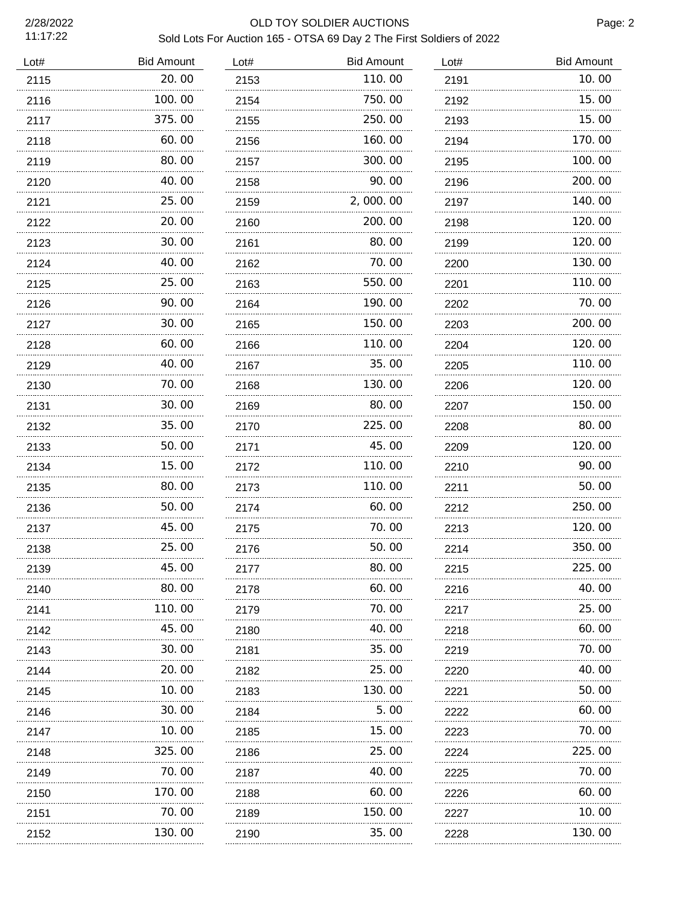## 2/28/2022 OLD TOY SOLDIER AUCTIONS Sold Lots For Auction 165 - OTSA 69 Day 2 The First Soldiers of 2022

| Lot# | <b>Bid Amount</b> | Lot# | <b>Bid Amount</b> | Lot# | <b>Bid Amount</b> |
|------|-------------------|------|-------------------|------|-------------------|
| 2115 | 20.00             | 2153 | 110.00            | 2191 | 10.00             |
| 2116 | 100.00            | 2154 | 750.00            | 2192 | 15.00             |
| 2117 | 375.00            | 2155 | 250.00            | 2193 | 15.00             |
| 2118 | 60. 00            | 2156 | 160.00            | 2194 | 170.00            |
| 2119 | 80.00             | 2157 | 300.00            | 2195 | 100.00            |
| 2120 | 40.00             | 2158 | 90.00             | 2196 | 200.00            |
| 2121 | 25.00             | 2159 | 2,000.00          | 2197 | 140.00            |
| 2122 | 20.00             | 2160 | 200.00            | 2198 | 120.00            |
| 2123 | 30.00             | 2161 | 80.00             | 2199 | 120.00            |
| 2124 | 40.00             | 2162 | 70.00             | 2200 | 130.00            |
| 2125 | 25.00             | 2163 | 550.00            | 2201 | 110.00            |
| 2126 | 90.00             | 2164 | 190.00            | 2202 | 70.00             |
| 2127 | 30.00             | 2165 | 150.00            | 2203 | 200.00            |
| 2128 | 60.00             | 2166 | 110.00            | 2204 | 120, 00           |
| 2129 | 40.00             | 2167 | 35.00             | 2205 | 110.00            |
| 2130 | 70.00             | 2168 | 130.00            | 2206 | 120.00            |
| 2131 | 30.00             | 2169 | 80.00             | 2207 | 150.00            |
| 2132 | 35.00             | 2170 | 225,00            | 2208 | 80, 00            |
| 2133 | 50.00             | 2171 | 45.00             | 2209 | 120.00            |
| 2134 | 15.00             | 2172 | 110.00            | 2210 | 90.00             |
| 2135 | 80.00             | 2173 | 110.00            | 2211 | 50.00             |
| 2136 | 50.00             | 2174 | 60.00             | 2212 | 250, 00           |
| 2137 | 45.00             | 2175 | 70.00             | 2213 | 120.00            |
| 2138 | 25.00             | 2176 | 50.00             | 2214 | 350.00            |
| 2139 | 45.00             | 2177 | 80.00             | 2215 | 225.00            |
| 2140 | 80.00             | 2178 | 60. 00            | 2216 | 40.00             |
| 2141 | 110.00            | 2179 | 70.00             | 2217 | 25.00             |
| 2142 | 45.00             | 2180 | 40.00             | 2218 | 60.00             |
| 2143 | 30.00             | 2181 | 35.00             | 2219 | 70.00             |
| 2144 | 20.00             | 2182 | 25.00             | 2220 | 40.00             |
| 2145 | 10. 00            | 2183 | 130.00            | 2221 | 50.00             |
| 2146 | 30.00             | 2184 | 5.00              | 2222 | 60.00             |
| 2147 | 10. 00            | 2185 | 15. 00            | 2223 | 70.00             |
| 2148 | 325.00            | 2186 | 25.00             | 2224 | 225.00            |
| 2149 | 70.00             | 2187 | 40.00             | 2225 | 70.00             |
| 2150 | 170. 00           | 2188 | 60. 00            | 2226 | 60.00             |
| 2151 | 70.00             | 2189 | 150.00            | 2227 | 10.00             |
| 2152 | 130.00            | 2190 | 35.00             | 2228 | 130.00            |
|      |                   |      |                   |      |                   |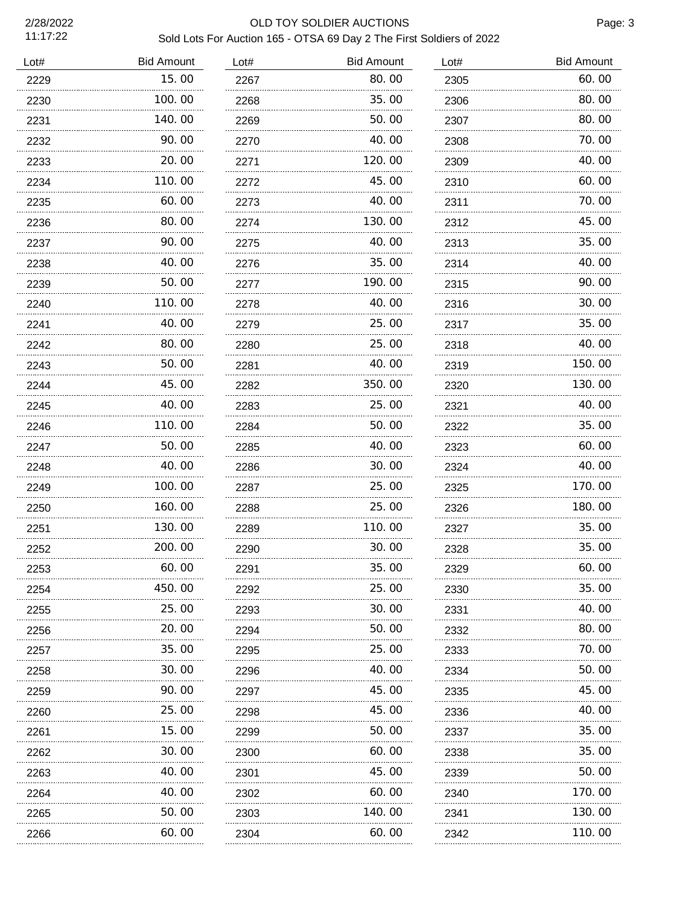#### 2/28/2022 OLD TOY SOLDIER AUCTIONS Sold Lots For Auction 165 - OTSA 69 Day 2 The First Soldiers of 2022

Page: 3

| Lot# | <b>Bid Amount</b> | Lot# | <b>Bid Amount</b> | Lot# | <b>Bid Amount</b> |
|------|-------------------|------|-------------------|------|-------------------|
| 2229 | 15.00             | 2267 | 80.00             | 2305 | 60.00             |
| 2230 | 100. 00           | 2268 | 35.00             | 2306 | 80.00             |
| 2231 | 140.00            | 2269 | 50.00             | 2307 | 80.00             |
| 2232 | 90.00             | 2270 | 40.00             | 2308 | 70.00             |
| 2233 | 20.00             | 2271 | 120.00            | 2309 | 40.00             |
| 2234 | 110.00            | 2272 | 45.00             | 2310 | 60.00             |
| 2235 | 60.00             | 2273 | 40.00             | 2311 | 70.00             |
| 2236 | 80.00             | 2274 | 130.00            | 2312 | 45.00             |
| 2237 | 90.00             | 2275 | 40.00             | 2313 | 35.00             |
| 2238 | 40.00             | 2276 | 35.00             | 2314 | 40.00             |
| 2239 | 50.00             | 2277 | 190.00            | 2315 | 90.00             |
| 2240 | 110.00            | 2278 | 40.00             | 2316 | 30.00             |
| 2241 | 40.00             | 2279 | 25.00             | 2317 | 35.00             |
| 2242 | 80.00             | 2280 | 25.00             | 2318 | 40.00             |
| 2243 | 50.00             | 2281 | 40.00             | 2319 | 150.00            |
| 2244 | 45.00             | 2282 | 350.00            | 2320 | 130.00            |
| 2245 | 40.00             | 2283 | 25.00             | 2321 | 40.00             |
| 2246 | 110.00            | 2284 | 50.00             | 2322 | 35.00             |
| 2247 | 50.00             | 2285 | 40.00             | 2323 | 60.00             |
| 2248 | 40.00             | 2286 | 30.00             | 2324 | 40.00             |
| 2249 | 100.00            | 2287 | 25.00             | 2325 | 170.00            |
| 2250 | 160.00            | 2288 | 25.00             | 2326 | 180.00            |
| 2251 | 130.00            | 2289 | 110.00            | 2327 | 35.00             |
| 2252 | 200.00            | 2290 | 30.00             | 2328 | 35.00             |
| 2253 | 60.00             | 2291 | 35.00             | 2329 | 60.00             |
| 2254 | 450. 00           | 2292 | 25.00             | 2330 | 35.00             |
| 2255 | 25.00             | 2293 | 30.00             | 2331 | 40.00             |
| 2256 | 20.00             | 2294 | 50.00             | 2332 | 80.00             |
| 2257 | 35.00             | 2295 | 25.00             | 2333 | 70.00             |
| 2258 | 30.00             | 2296 | 40.00             | 2334 | 50.00             |
| 2259 | 90.00             | 2297 | 45.00             | 2335 | 45.00             |
| 2260 | 25.00             | 2298 | 45.00             | 2336 | 40.00             |
| 2261 | 15.00             | 2299 | 50.00             | 2337 | 35.00             |
| 2262 | 30.00             | 2300 | 60.00             | 2338 | 35.00             |
| 2263 | 40.00             | 2301 | 45.00             | 2339 | 50.00             |
| 2264 | 40.00             | 2302 | 60.00             | 2340 | 170.00            |
| 2265 | 50.00             | 2303 | 140.00            | 2341 | 130.00            |
| 2266 | 60.00             | 2304 | 60.00             | 2342 | 110.00            |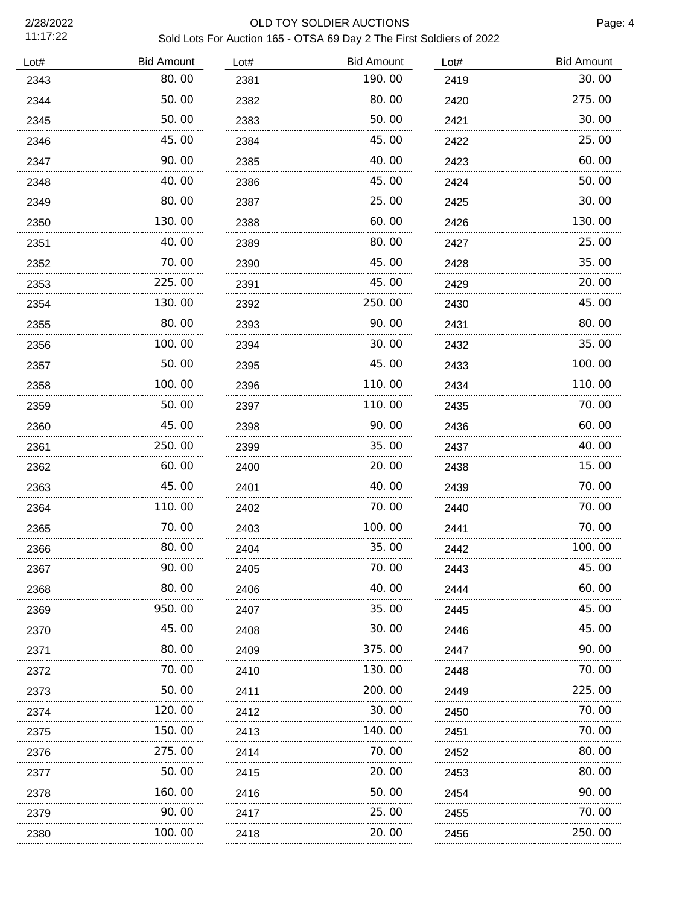## 2/28/2022 OLD TOY SOLDIER AUCTIONS Sold Lots For Auction 165 - OTSA 69 Day 2 The First Soldiers of 2022

| Lot# | <b>Bid Amount</b> | Lot# | <b>Bid Amount</b> | Lot# | <b>Bid Amount</b> |
|------|-------------------|------|-------------------|------|-------------------|
| 2343 | 80.00             | 2381 | 190.00            | 2419 | 30.00             |
| 2344 | 50.00             | 2382 | 80.00             | 2420 | 275.00            |
| 2345 | 50.00             | 2383 | 50.00             | 2421 | 30.00             |
| 2346 | 45.00             | 2384 | 45.00             | 2422 | 25.00             |
| 2347 | 90.00             | 2385 | 40.00             | 2423 | 60.00             |
| 2348 | 40.00             | 2386 | 45.00             | 2424 | 50.00             |
| 2349 | 80.00             | 2387 | 25.00             | 2425 | 30.00             |
| 2350 | 130.00            | 2388 | 60.00             | 2426 | 130.00            |
| 2351 | 40.00             | 2389 | 80.00             | 2427 | 25.00             |
| 2352 | 70.00             | 2390 | 45.00             | 2428 | 35.00             |
| 2353 | 225.00            | 2391 | 45.00             | 2429 | 20.00             |
| 2354 | 130.00            | 2392 | 250.00            | 2430 | 45.00             |
| 2355 | 80.00             | 2393 | 90.00             | 2431 | 80.00             |
| 2356 | 100.00            | 2394 | 30.00             | 2432 | 35.00             |
| 2357 | 50.00             | 2395 | 45.00             | 2433 | 100.00            |
| 2358 | 100.00            | 2396 | 110. 00           | 2434 | 110. 00           |
| 2359 | 50.00             | 2397 | 110. 00           | 2435 | 70.00             |
| 2360 | 45.00             | 2398 | 90. 00            | 2436 | 60.00             |
| 2361 | 250.00            | 2399 | 35.00             | 2437 | 40.00             |
| 2362 | 60.00             | 2400 | 20. 00            | 2438 | 15.00             |
| 2363 | 45.00             | 2401 | 40.00             | 2439 | 70.00             |
| 2364 | 110.00            | 2402 | 70.00             | 2440 | 70.00             |
| 2365 | 70.00             | 2403 | 100.00            | 2441 | 70.00             |
| 2366 | 80.00             | 2404 | 35.00             | 2442 | 100.00            |
| 2367 | 90.00             | 2405 | 70.00             | 2443 | 45.00             |
| 2368 | 80.00             | 2406 | 40.00             | 2444 | 60.00             |
| 2369 | 950.00            | 2407 | 35.00             | 2445 | 45.00             |
| 2370 | 45.00             | 2408 | 30.00             | 2446 | 45.00             |
| 2371 | 80.00             | 2409 | 375.00            | 2447 | 90.00             |
| 2372 | 70.00             | 2410 | 130.00            | 2448 | 70.00             |
| 2373 | 50.00             | 2411 | 200.00            | 2449 | 225.00            |
| 2374 | 120.00            | 2412 | 30.00             | 2450 | 70.00             |
| 2375 | 150.00            | 2413 | 140.00            | 2451 | 70.00             |
| 2376 | 275.00            | 2414 | 70.00             | 2452 | 80.00             |
| 2377 | 50.00             | 2415 | 20.00             | 2453 | 80.00             |
| 2378 | 160.00            | 2416 | 50.00             | 2454 | 90.00             |
| 2379 | 90.00             | 2417 | 25.00             | 2455 | 70.00             |
| 2380 | 100.00            | 2418 | 20.00             | 2456 | 250.00            |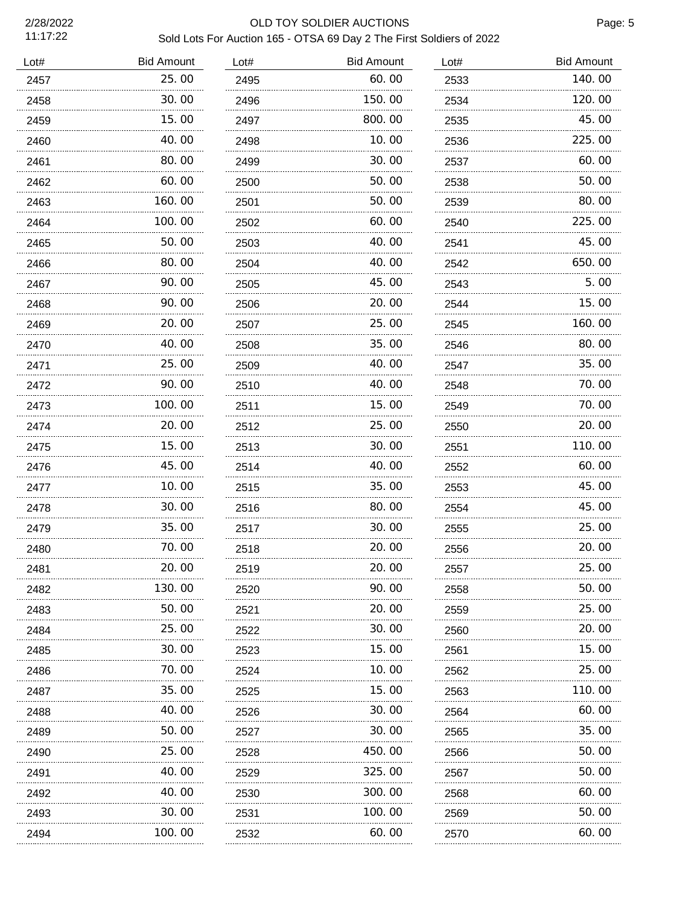## 2/28/2022 OLD TOY SOLDIER AUCTIONS Sold Lots For Auction 165 - OTSA 69 Day 2 The First Soldiers of 2022

| Lot# | <b>Bid Amount</b> | Lot# | <b>Bid Amount</b> | Lot# | <b>Bid Amount</b> |
|------|-------------------|------|-------------------|------|-------------------|
| 2457 | 25.00             | 2495 | 60.00             | 2533 | 140.00            |
| 2458 | 30.00             | 2496 | 150.00            | 2534 | 120.00            |
| 2459 | 15.00             | 2497 | 800.00            | 2535 | 45.00             |
| 2460 | 40.00             | 2498 | 10.00             | 2536 | 225.00            |
| 2461 | 80.00             | 2499 | 30.00             | 2537 | 60.00             |
| 2462 | 60.00             | 2500 | 50.00             | 2538 | 50.00             |
| 2463 | 160.00            | 2501 | 50.00             | 2539 | 80.00             |
| 2464 | 100.00            | 2502 | 60.00             | 2540 | 225.00            |
| 2465 | 50.00             | 2503 | 40.00             | 2541 | 45.00             |
| 2466 | 80.00             | 2504 | 40.00             | 2542 | 650.00            |
| 2467 | 90.00             | 2505 | 45.00             | 2543 | 5.00              |
| 2468 | 90.00             | 2506 | 20.00             | 2544 | 15.00             |
| 2469 | 20.00             | 2507 | 25.00             | 2545 | 160.00            |
| 2470 | 40.00             | 2508 | 35.00             | 2546 | 80.00             |
| 2471 | 25.00             | 2509 | 40.00             | 2547 | 35.00             |
| 2472 | 90.00             | 2510 | 40. 00            | 2548 | 70.00             |
| 2473 | 100.00            | 2511 | 15.00             | 2549 | 70.00             |
| 2474 | 20.00             | 2512 | 25.00             | 2550 | 20.00             |
| 2475 | 15.00             | 2513 | 30.00             | 2551 | 110.00            |
| 2476 | 45.00             | 2514 | 40.00             | 2552 | 60.00             |
| 2477 | 10.00             | 2515 | 35.00             | 2553 | 45.00             |
| 2478 | 30.00             | 2516 | 80. 00            | 2554 | 45.00             |
| 2479 | 35.00             | 2517 | 30.00             | 2555 | 25.00             |
| 2480 | 70.00             | 2518 | 20.00             | 2556 | 20.00             |
| 2481 | 20.00             | 2519 | 20.00             | 2557 | 25.00             |
| 2482 | 130.00            | 2520 | 90.00             | 2558 | 50.00             |
| 2483 | 50.00             | 2521 | 20.00             | 2559 | 25.00             |
| 2484 | 25.00             | 2522 | 30.00             | 2560 | 20.00             |
| 2485 | 30.00             | 2523 | 15.00             | 2561 | 15.00             |
| 2486 | 70.00<br>.        | 2524 | 10. 00<br>.       | 2562 | 25.00             |
| 2487 | 35.00             | 2525 | 15.00             | 2563 | 110.00            |
| 2488 | 40. OO            | 2526 | 30.00             | 2564 | 60.00             |
| 2489 | 50.00             | 2527 | 30.00             | 2565 | 35.00             |
| 2490 | 25.00             | 2528 | 450.00            | 2566 | 50.00             |
| 2491 | 40. OO            | 2529 | 325.00            | 2567 | 50.00             |
| 2492 | 40.00             | 2530 | 300.00            | 2568 | 60.00             |
| 2493 | 30.00             | 2531 | 100.00            | 2569 | 50.00             |
| 2494 | 100.00            | 2532 | 60.00             | 2570 | 60.00             |